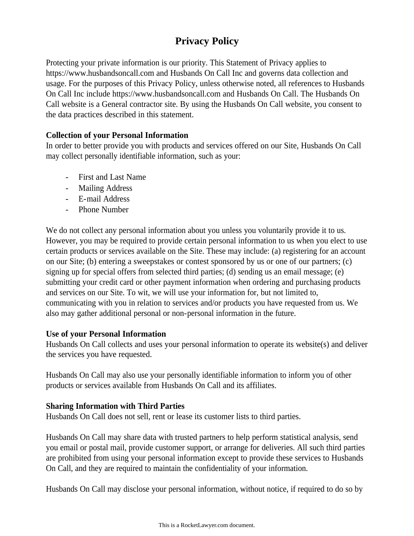# **Privacy Policy**

Protecting your private information is our priority. This Statement of Privacy applies to https://www.husbandsoncall.com and Husbands On Call Inc and governs data collection and usage. For the purposes of this Privacy Policy, unless otherwise noted, all references to Husbands On Call Inc include https://www.husbandsoncall.com and Husbands On Call. The Husbands On Call website is a General contractor site. By using the Husbands On Call website, you consent to the data practices described in this statement.

## **Collection of your Personal Information**

In order to better provide you with products and services offered on our Site, Husbands On Call may collect personally identifiable information, such as your:

- First and Last Name
- Mailing Address
- E-mail Address
- Phone Number

We do not collect any personal information about you unless you voluntarily provide it to us. However, you may be required to provide certain personal information to us when you elect to use certain products or services available on the Site. These may include: (a) registering for an account on our Site; (b) entering a sweepstakes or contest sponsored by us or one of our partners; (c) signing up for special offers from selected third parties; (d) sending us an email message; (e) submitting your credit card or other payment information when ordering and purchasing products and services on our Site. To wit, we will use your information for, but not limited to, communicating with you in relation to services and/or products you have requested from us. We also may gather additional personal or non-personal information in the future.

## **Use of your Personal Information**

Husbands On Call collects and uses your personal information to operate its website(s) and deliver the services you have requested.

Husbands On Call may also use your personally identifiable information to inform you of other products or services available from Husbands On Call and its affiliates.

## **Sharing Information with Third Parties**

Husbands On Call does not sell, rent or lease its customer lists to third parties.

Husbands On Call may share data with trusted partners to help perform statistical analysis, send you email or postal mail, provide customer support, or arrange for deliveries. All such third parties are prohibited from using your personal information except to provide these services to Husbands On Call, and they are required to maintain the confidentiality of your information.

Husbands On Call may disclose your personal information, without notice, if required to do so by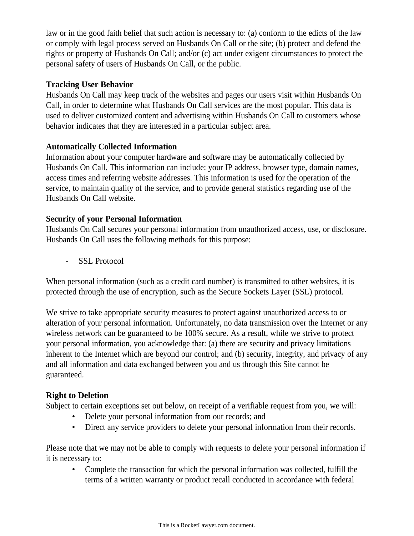law or in the good faith belief that such action is necessary to: (a) conform to the edicts of the law or comply with legal process served on Husbands On Call or the site; (b) protect and defend the rights or property of Husbands On Call; and/or (c) act under exigent circumstances to protect the personal safety of users of Husbands On Call, or the public.

### **Tracking User Behavior**

Husbands On Call may keep track of the websites and pages our users visit within Husbands On Call, in order to determine what Husbands On Call services are the most popular. This data is used to deliver customized content and advertising within Husbands On Call to customers whose behavior indicates that they are interested in a particular subject area.

#### **Automatically Collected Information**

Information about your computer hardware and software may be automatically collected by Husbands On Call. This information can include: your IP address, browser type, domain names, access times and referring website addresses. This information is used for the operation of the service, to maintain quality of the service, and to provide general statistics regarding use of the Husbands On Call website.

#### **Security of your Personal Information**

Husbands On Call secures your personal information from unauthorized access, use, or disclosure. Husbands On Call uses the following methods for this purpose:

- SSL Protocol

When personal information (such as a credit card number) is transmitted to other websites, it is protected through the use of encryption, such as the Secure Sockets Layer (SSL) protocol.

We strive to take appropriate security measures to protect against unauthorized access to or alteration of your personal information. Unfortunately, no data transmission over the Internet or any wireless network can be guaranteed to be 100% secure. As a result, while we strive to protect your personal information, you acknowledge that: (a) there are security and privacy limitations inherent to the Internet which are beyond our control; and (b) security, integrity, and privacy of any and all information and data exchanged between you and us through this Site cannot be guaranteed.

## **Right to Deletion**

Subject to certain exceptions set out below, on receipt of a verifiable request from you, we will:

- Delete your personal information from our records; and
- Direct any service providers to delete your personal information from their records.

Please note that we may not be able to comply with requests to delete your personal information if it is necessary to:

• Complete the transaction for which the personal information was collected, fulfill the terms of a written warranty or product recall conducted in accordance with federal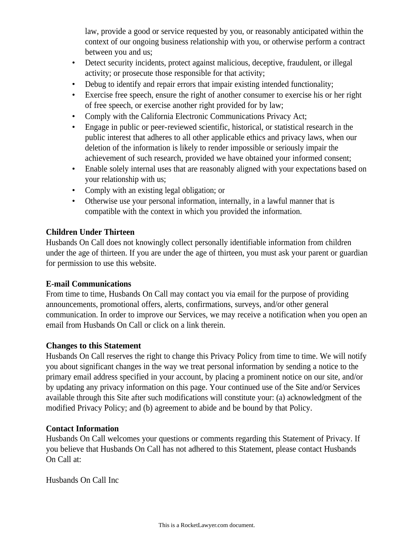law, provide a good or service requested by you, or reasonably anticipated within the context of our ongoing business relationship with you, or otherwise perform a contract between you and us;

- Detect security incidents, protect against malicious, deceptive, fraudulent, or illegal activity; or prosecute those responsible for that activity;
- Debug to identify and repair errors that impair existing intended functionality;
- Exercise free speech, ensure the right of another consumer to exercise his or her right of free speech, or exercise another right provided for by law;
- Comply with the California Electronic Communications Privacy Act;
- Engage in public or peer-reviewed scientific, historical, or statistical research in the public interest that adheres to all other applicable ethics and privacy laws, when our deletion of the information is likely to render impossible or seriously impair the achievement of such research, provided we have obtained your informed consent;
- Enable solely internal uses that are reasonably aligned with your expectations based on your relationship with us;
- Comply with an existing legal obligation; or
- Otherwise use your personal information, internally, in a lawful manner that is compatible with the context in which you provided the information.

## **Children Under Thirteen**

Husbands On Call does not knowingly collect personally identifiable information from children under the age of thirteen. If you are under the age of thirteen, you must ask your parent or guardian for permission to use this website.

## **E-mail Communications**

From time to time, Husbands On Call may contact you via email for the purpose of providing announcements, promotional offers, alerts, confirmations, surveys, and/or other general communication. In order to improve our Services, we may receive a notification when you open an email from Husbands On Call or click on a link therein.

## **Changes to this Statement**

Husbands On Call reserves the right to change this Privacy Policy from time to time. We will notify you about significant changes in the way we treat personal information by sending a notice to the primary email address specified in your account, by placing a prominent notice on our site, and/or by updating any privacy information on this page. Your continued use of the Site and/or Services available through this Site after such modifications will constitute your: (a) acknowledgment of the modified Privacy Policy; and (b) agreement to abide and be bound by that Policy.

#### **Contact Information**

Husbands On Call welcomes your questions or comments regarding this Statement of Privacy. If you believe that Husbands On Call has not adhered to this Statement, please contact Husbands On Call at:

Husbands On Call Inc